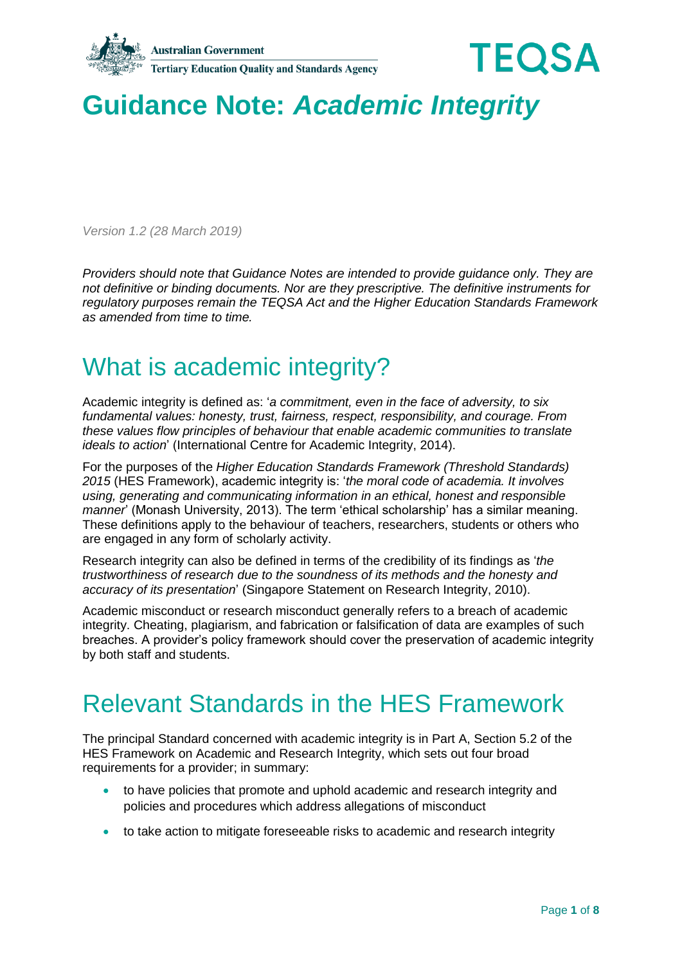



# **Guidance Note:** *Academic Integrity*

*Version 1.2 (28 March 2019)*

*Providers should note that Guidance Notes are intended to provide guidance only. They are not definitive or binding documents. Nor are they prescriptive. The definitive instruments for regulatory purposes remain the TEQSA Act and the Higher Education Standards Framework as amended from time to time.*

### What is academic integrity?

Academic integrity is defined as: '*a commitment, even in the face of adversity, to six fundamental values: honesty, trust, fairness, respect, responsibility, and courage. From these values flow principles of behaviour that enable academic communities to translate ideals to action*' (International Centre for Academic Integrity, 2014).

For the purposes of the *Higher Education Standards Framework (Threshold Standards) 2015* (HES Framework), academic integrity is: '*the moral code of academia. It involves using, generating and communicating information in an ethical, honest and responsible manner*' (Monash University, 2013). The term 'ethical scholarship' has a similar meaning. These definitions apply to the behaviour of teachers, researchers, students or others who are engaged in any form of scholarly activity.

Research integrity can also be defined in terms of the credibility of its findings as '*the trustworthiness of research due to the soundness of its methods and the honesty and accuracy of its presentation*' (Singapore Statement on Research Integrity, 2010).

Academic misconduct or research misconduct generally refers to a breach of academic integrity. Cheating, plagiarism, and fabrication or falsification of data are examples of such breaches. A provider's policy framework should cover the preservation of academic integrity by both staff and students.

### Relevant Standards in the HES Framework

The principal Standard concerned with academic integrity is in Part A, Section 5.2 of the HES Framework on Academic and Research Integrity, which sets out four broad requirements for a provider; in summary:

- to have policies that promote and uphold academic and research integrity and policies and procedures which address allegations of misconduct
- to take action to mitigate foreseeable risks to academic and research integrity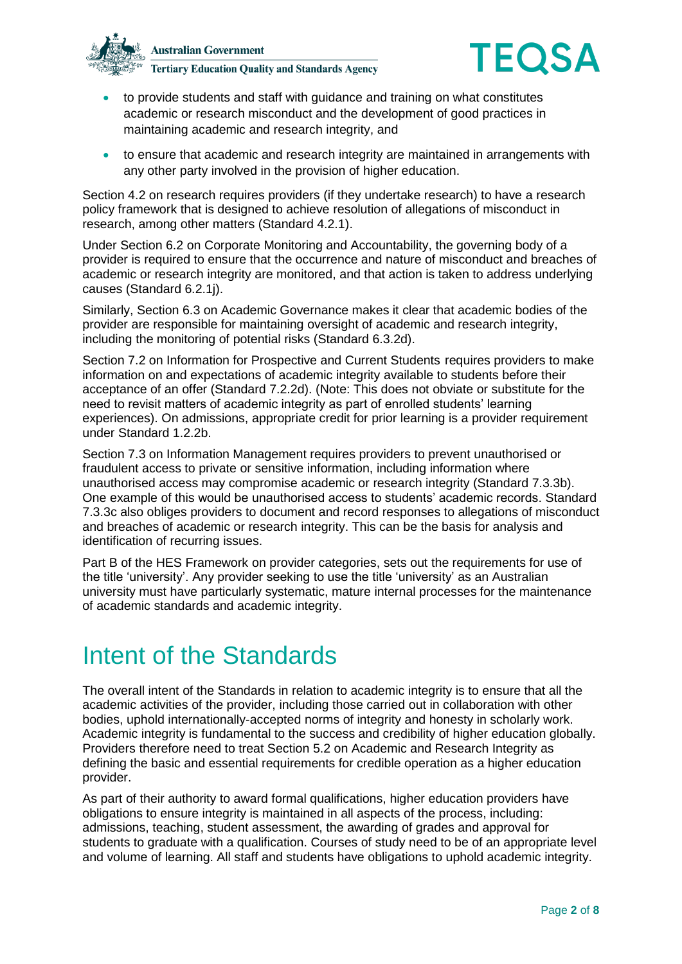



- to provide students and staff with guidance and training on what constitutes academic or research misconduct and the development of good practices in maintaining academic and research integrity, and
- to ensure that academic and research integrity are maintained in arrangements with any other party involved in the provision of higher education.

Section 4.2 on research requires providers (if they undertake research) to have a research policy framework that is designed to achieve resolution of allegations of misconduct in research, among other matters (Standard 4.2.1).

Under Section 6.2 on Corporate Monitoring and Accountability, the governing body of a provider is required to ensure that the occurrence and nature of misconduct and breaches of academic or research integrity are monitored, and that action is taken to address underlying causes (Standard 6.2.1j).

Similarly, Section 6.3 on Academic Governance makes it clear that academic bodies of the provider are responsible for maintaining oversight of academic and research integrity, including the monitoring of potential risks (Standard 6.3.2d).

Section 7.2 on Information for Prospective and Current Students requires providers to make information on and expectations of academic integrity available to students before their acceptance of an offer (Standard 7.2.2d). (Note: This does not obviate or substitute for the need to revisit matters of academic integrity as part of enrolled students' learning experiences). On admissions, appropriate credit for prior learning is a provider requirement under Standard 1.2.2b.

Section 7.3 on Information Management requires providers to prevent unauthorised or fraudulent access to private or sensitive information, including information where unauthorised access may compromise academic or research integrity (Standard 7.3.3b). One example of this would be unauthorised access to students' academic records. Standard 7.3.3c also obliges providers to document and record responses to allegations of misconduct and breaches of academic or research integrity. This can be the basis for analysis and identification of recurring issues.

Part B of the HES Framework on provider categories, sets out the requirements for use of the title 'university'. Any provider seeking to use the title 'university' as an Australian university must have particularly systematic, mature internal processes for the maintenance of academic standards and academic integrity.

#### Intent of the Standards

The overall intent of the Standards in relation to academic integrity is to ensure that all the academic activities of the provider, including those carried out in collaboration with other bodies, uphold internationally-accepted norms of integrity and honesty in scholarly work. Academic integrity is fundamental to the success and credibility of higher education globally. Providers therefore need to treat Section 5.2 on Academic and Research Integrity as defining the basic and essential requirements for credible operation as a higher education provider.

As part of their authority to award formal qualifications, higher education providers have obligations to ensure integrity is maintained in all aspects of the process, including: admissions, teaching, student assessment, the awarding of grades and approval for students to graduate with a qualification. Courses of study need to be of an appropriate level and volume of learning. All staff and students have obligations to uphold academic integrity.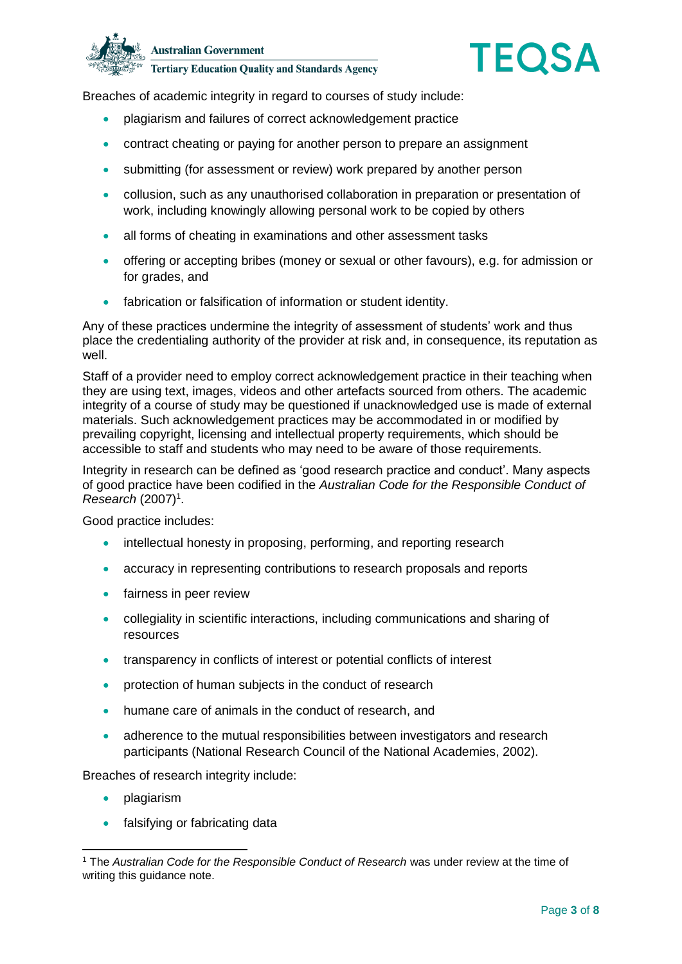



Breaches of academic integrity in regard to courses of study include:

- plagiarism and failures of correct acknowledgement practice
- contract cheating or paying for another person to prepare an assignment
- submitting (for assessment or review) work prepared by another person
- collusion, such as any unauthorised collaboration in preparation or presentation of work, including knowingly allowing personal work to be copied by others
- all forms of cheating in examinations and other assessment tasks
- offering or accepting bribes (money or sexual or other favours), e.g. for admission or for grades, and
- fabrication or falsification of information or student identity.

Any of these practices undermine the integrity of assessment of students' work and thus place the credentialing authority of the provider at risk and, in consequence, its reputation as well.

Staff of a provider need to employ correct acknowledgement practice in their teaching when they are using text, images, videos and other artefacts sourced from others. The academic integrity of a course of study may be questioned if unacknowledged use is made of external materials. Such acknowledgement practices may be accommodated in or modified by prevailing copyright, licensing and intellectual property requirements, which should be accessible to staff and students who may need to be aware of those requirements.

Integrity in research can be defined as 'good research practice and conduct'. Many aspects of good practice have been codified in the *Australian Code for the Responsible Conduct of Research* (2007)<sup>1</sup>.

Good practice includes:

- intellectual honesty in proposing, performing, and reporting research
- accuracy in representing contributions to research proposals and reports
- **•** fairness in peer review
- collegiality in scientific interactions, including communications and sharing of resources
- transparency in conflicts of interest or potential conflicts of interest
- **•** protection of human subjects in the conduct of research
- humane care of animals in the conduct of research, and
- adherence to the mutual responsibilities between investigators and research participants (National Research Council of the National Academies, 2002).

Breaches of research integrity include:

• plagiarism

-

• falsifying or fabricating data

<sup>1</sup> The *Australian Code for the Responsible Conduct of Research* was under review at the time of writing this guidance note.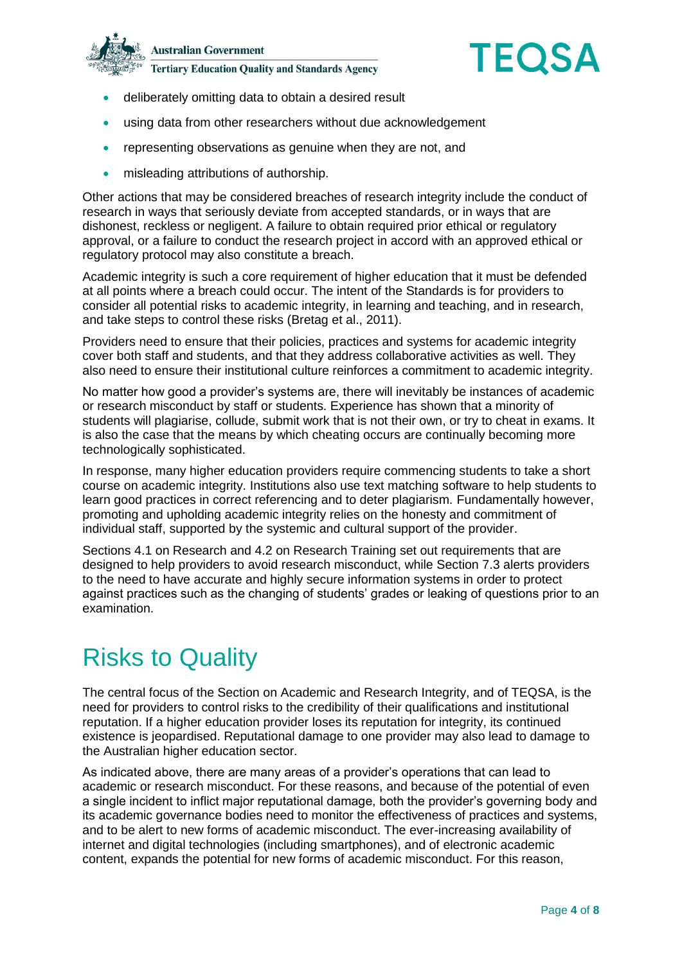



- deliberately omitting data to obtain a desired result
- using data from other researchers without due acknowledgement
- representing observations as genuine when they are not, and
- **•** misleading attributions of authorship.

Other actions that may be considered breaches of research integrity include the conduct of research in ways that seriously deviate from accepted standards, or in ways that are dishonest, reckless or negligent. A failure to obtain required prior ethical or regulatory approval, or a failure to conduct the research project in accord with an approved ethical or regulatory protocol may also constitute a breach.

Academic integrity is such a core requirement of higher education that it must be defended at all points where a breach could occur. The intent of the Standards is for providers to consider all potential risks to academic integrity, in learning and teaching, and in research, and take steps to control these risks (Bretag et al., 2011).

Providers need to ensure that their policies, practices and systems for academic integrity cover both staff and students, and that they address collaborative activities as well. They also need to ensure their institutional culture reinforces a commitment to academic integrity.

No matter how good a provider's systems are, there will inevitably be instances of academic or research misconduct by staff or students. Experience has shown that a minority of students will plagiarise, collude, submit work that is not their own, or try to cheat in exams. It is also the case that the means by which cheating occurs are continually becoming more technologically sophisticated.

In response, many higher education providers require commencing students to take a short course on academic integrity. Institutions also use text matching software to help students to learn good practices in correct referencing and to deter plagiarism. Fundamentally however, promoting and upholding academic integrity relies on the honesty and commitment of individual staff, supported by the systemic and cultural support of the provider.

Sections 4.1 on Research and 4.2 on Research Training set out requirements that are designed to help providers to avoid research misconduct, while Section 7.3 alerts providers to the need to have accurate and highly secure information systems in order to protect against practices such as the changing of students' grades or leaking of questions prior to an examination.

## Risks to Quality

The central focus of the Section on Academic and Research Integrity, and of TEQSA, is the need for providers to control risks to the credibility of their qualifications and institutional reputation. If a higher education provider loses its reputation for integrity, its continued existence is jeopardised. Reputational damage to one provider may also lead to damage to the Australian higher education sector.

As indicated above, there are many areas of a provider's operations that can lead to academic or research misconduct. For these reasons, and because of the potential of even a single incident to inflict major reputational damage, both the provider's governing body and its academic governance bodies need to monitor the effectiveness of practices and systems, and to be alert to new forms of academic misconduct. The ever-increasing availability of internet and digital technologies (including smartphones), and of electronic academic content, expands the potential for new forms of academic misconduct. For this reason,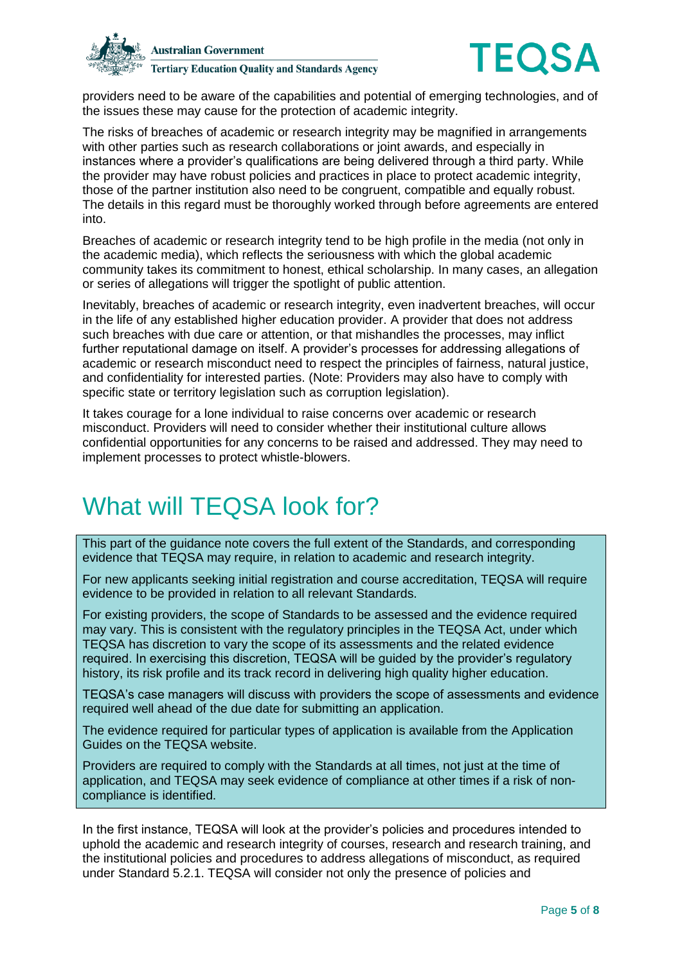



providers need to be aware of the capabilities and potential of emerging technologies, and of the issues these may cause for the protection of academic integrity.

The risks of breaches of academic or research integrity may be magnified in arrangements with other parties such as research collaborations or joint awards, and especially in instances where a provider's qualifications are being delivered through a third party. While the provider may have robust policies and practices in place to protect academic integrity, those of the partner institution also need to be congruent, compatible and equally robust. The details in this regard must be thoroughly worked through before agreements are entered into.

Breaches of academic or research integrity tend to be high profile in the media (not only in the academic media), which reflects the seriousness with which the global academic community takes its commitment to honest, ethical scholarship. In many cases, an allegation or series of allegations will trigger the spotlight of public attention.

Inevitably, breaches of academic or research integrity, even inadvertent breaches, will occur in the life of any established higher education provider. A provider that does not address such breaches with due care or attention, or that mishandles the processes, may inflict further reputational damage on itself. A provider's processes for addressing allegations of academic or research misconduct need to respect the principles of fairness, natural justice, and confidentiality for interested parties. (Note: Providers may also have to comply with specific state or territory legislation such as corruption legislation).

It takes courage for a lone individual to raise concerns over academic or research misconduct. Providers will need to consider whether their institutional culture allows confidential opportunities for any concerns to be raised and addressed. They may need to implement processes to protect whistle-blowers.

### What will TEQSA look for?

This part of the guidance note covers the full extent of the Standards, and corresponding evidence that TEQSA may require, in relation to academic and research integrity.

For new applicants seeking initial registration and course accreditation, TEQSA will require evidence to be provided in relation to all relevant Standards.

For existing providers, the scope of Standards to be assessed and the evidence required may vary. This is consistent with the regulatory principles in the TEQSA Act, under which TEQSA has discretion to vary the scope of its assessments and the related evidence required. In exercising this discretion, TEQSA will be guided by the provider's regulatory history, its risk profile and its track record in delivering high quality higher education.

TEQSA's case managers will discuss with providers the scope of assessments and evidence required well ahead of the due date for submitting an application.

The evidence required for particular types of application is available from the Application Guides on the TEQSA website.

Providers are required to comply with the Standards at all times, not just at the time of application, and TEQSA may seek evidence of compliance at other times if a risk of noncompliance is identified.

In the first instance, TEQSA will look at the provider's policies and procedures intended to uphold the academic and research integrity of courses, research and research training, and the institutional policies and procedures to address allegations of misconduct, as required under Standard 5.2.1. TEQSA will consider not only the presence of policies and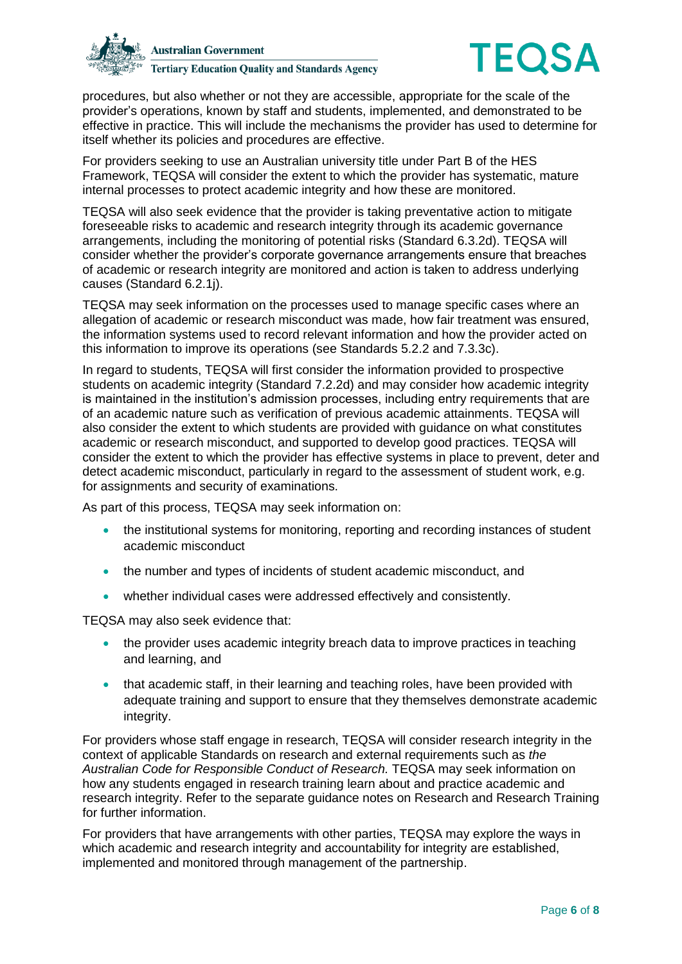



procedures, but also whether or not they are accessible, appropriate for the scale of the provider's operations, known by staff and students, implemented, and demonstrated to be effective in practice. This will include the mechanisms the provider has used to determine for itself whether its policies and procedures are effective.

For providers seeking to use an Australian university title under Part B of the HES Framework, TEQSA will consider the extent to which the provider has systematic, mature internal processes to protect academic integrity and how these are monitored.

TEQSA will also seek evidence that the provider is taking preventative action to mitigate foreseeable risks to academic and research integrity through its academic governance arrangements, including the monitoring of potential risks (Standard 6.3.2d). TEQSA will consider whether the provider's corporate governance arrangements ensure that breaches of academic or research integrity are monitored and action is taken to address underlying causes (Standard 6.2.1j).

TEQSA may seek information on the processes used to manage specific cases where an allegation of academic or research misconduct was made, how fair treatment was ensured, the information systems used to record relevant information and how the provider acted on this information to improve its operations (see Standards 5.2.2 and 7.3.3c).

In regard to students, TEQSA will first consider the information provided to prospective students on academic integrity (Standard 7.2.2d) and may consider how academic integrity is maintained in the institution's admission processes, including entry requirements that are of an academic nature such as verification of previous academic attainments. TEQSA will also consider the extent to which students are provided with guidance on what constitutes academic or research misconduct, and supported to develop good practices. TEQSA will consider the extent to which the provider has effective systems in place to prevent, deter and detect academic misconduct, particularly in regard to the assessment of student work, e.g. for assignments and security of examinations.

As part of this process, TEQSA may seek information on:

- the institutional systems for monitoring, reporting and recording instances of student academic misconduct
- the number and types of incidents of student academic misconduct, and
- whether individual cases were addressed effectively and consistently.

TEQSA may also seek evidence that:

- the provider uses academic integrity breach data to improve practices in teaching and learning, and
- that academic staff, in their learning and teaching roles, have been provided with adequate training and support to ensure that they themselves demonstrate academic integrity.

For providers whose staff engage in research, TEQSA will consider research integrity in the context of applicable Standards on research and external requirements such as *the Australian Code for Responsible Conduct of Research.* TEQSA may seek information on how any students engaged in research training learn about and practice academic and research integrity. Refer to the separate guidance notes on Research and Research Training for further information.

For providers that have arrangements with other parties, TEQSA may explore the ways in which academic and research integrity and accountability for integrity are established. implemented and monitored through management of the partnership.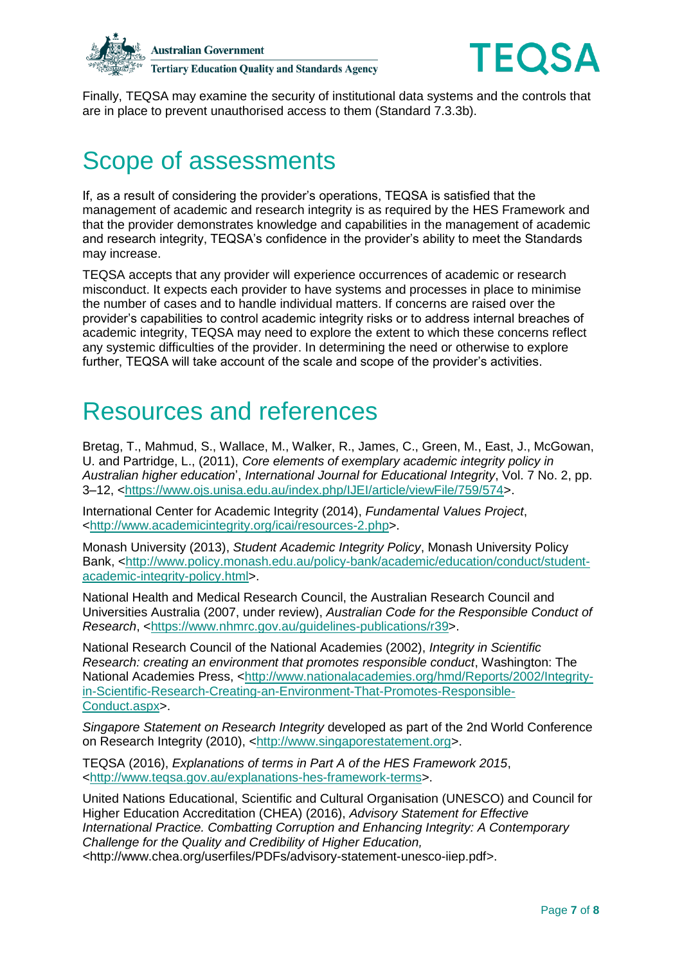



Finally, TEQSA may examine the security of institutional data systems and the controls that are in place to prevent unauthorised access to them (Standard 7.3.3b).

## Scope of assessments

If, as a result of considering the provider's operations, TEQSA is satisfied that the management of academic and research integrity is as required by the HES Framework and that the provider demonstrates knowledge and capabilities in the management of academic and research integrity, TEQSA's confidence in the provider's ability to meet the Standards may increase.

TEQSA accepts that any provider will experience occurrences of academic or research misconduct. It expects each provider to have systems and processes in place to minimise the number of cases and to handle individual matters. If concerns are raised over the provider's capabilities to control academic integrity risks or to address internal breaches of academic integrity, TEQSA may need to explore the extent to which these concerns reflect any systemic difficulties of the provider. In determining the need or otherwise to explore further, TEQSA will take account of the scale and scope of the provider's activities.

#### Resources and references

Bretag, T., Mahmud, S., Wallace, M., Walker, R., James, C., Green, M., East, J., McGowan, U. and Partridge, L., (2011), *Core elements of exemplary academic integrity policy in Australian higher education*', *International Journal for Educational Integrity*, Vol. 7 No. 2, pp. 3–12, [<https://www.ojs.unisa.edu.au/index.php/IJEI/article/viewFile/759/574>](https://www.ojs.unisa.edu.au/index.php/IJEI/article/viewFile/759/574).

International Center for Academic Integrity (2014), *Fundamental Values Project*, [<http://www.academicintegrity.org/icai/resources-2.php>](http://www.academicintegrity.org/icai/resources-2.php).

Monash University (2013), *Student Academic Integrity Policy*, Monash University Policy Bank, [<http://www.policy.monash.edu.au/policy-bank/academic/education/conduct/student](http://www.policy.monash.edu.au/policy-bank/academic/education/conduct/student-academic-integrity-policy.html)[academic-integrity-policy.html>](http://www.policy.monash.edu.au/policy-bank/academic/education/conduct/student-academic-integrity-policy.html).

National Health and Medical Research Council, the Australian Research Council and Universities Australia (2007, under review), *Australian Code for the Responsible Conduct of Research*, [<https://www.nhmrc.gov.au/guidelines-publications/r39>](https://www.nhmrc.gov.au/guidelines-publications/r39).

National Research Council of the National Academies (2002), *Integrity in Scientific Research: creating an environment that promotes responsible conduct*, Washington: The National Academies Press, [<http://www.nationalacademies.org/hmd/Reports/2002/Integrity](http://www.nationalacademies.org/hmd/Reports/2002/Integrity-in-Scientific-Research-Creating-an-Environment-That-Promotes-Responsible-Conduct.aspx)[in-Scientific-Research-Creating-an-Environment-That-Promotes-Responsible-](http://www.nationalacademies.org/hmd/Reports/2002/Integrity-in-Scientific-Research-Creating-an-Environment-That-Promotes-Responsible-Conduct.aspx)[Conduct.aspx>](http://www.nationalacademies.org/hmd/Reports/2002/Integrity-in-Scientific-Research-Creating-an-Environment-That-Promotes-Responsible-Conduct.aspx).

*Singapore Statement on Research Integrity* developed as part of the 2nd World Conference on Research Integrity (2010), [<http://www.singaporestatement.org>](http://www.singaporestatement.org/).

TEQSA (2016), *Explanations of terms in Part A of the HES Framework 2015*, [<http://www.teqsa.gov.au/explanations-hes-framework-terms>](http://www.teqsa.gov.au/explanations-hes-framework-terms).

United Nations Educational, Scientific and Cultural Organisation (UNESCO) and Council for Higher Education Accreditation (CHEA) (2016), *Advisory Statement for Effective International Practice. Combatting Corruption and Enhancing Integrity: A Contemporary Challenge for the Quality and Credibility of Higher Education, <*http://www.chea.org/userfiles/PDFs/advisory-statement-unesco-iiep.pdf*>*.